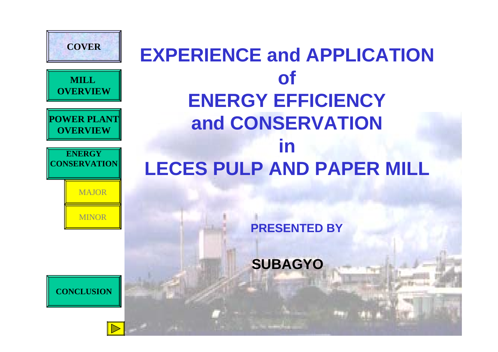

### **EXPERIENCE and APPLICATION of ENERGY EFFICIENCY and CONSERVATION in LECES PULP AND PAPER MILL**

**PRESENTED BY**

**SUBAGYO**



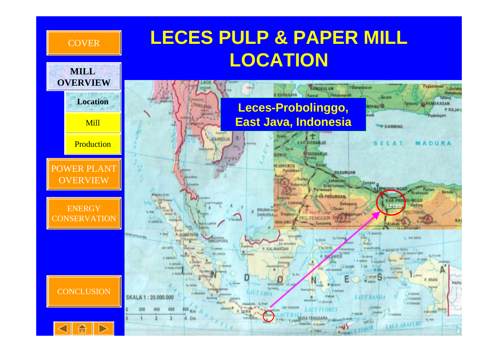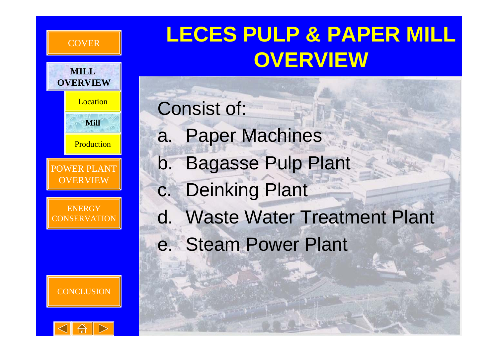## **LECES PULP & PAPER M OVERVIEW**



**COVER** 

**MILL** 

POWER PLANT**OVERVIEW** 

**ENERGY** CONSERVATION





Consist of: a. Paper Machines b. Bagasse Pulp Plant c. Deinking Plant d. Waste Water Treatment Plant e. Steam Power Plant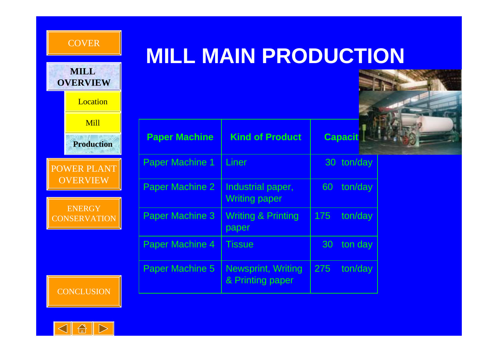| <b>MILL</b><br><b>OVERVIEW</b>       |         |
|--------------------------------------|---------|
| Location                             |         |
| Mill                                 |         |
| <b>Production</b>                    |         |
| <b>POWER PLANT</b>                   | F       |
| <b>OVERVIEW</b>                      | F       |
| <b>ENERGY</b><br><b>CONSERVATION</b> | F       |
|                                      | F       |
|                                      | F<br>-4 |

COVER

## **MILL MAIN PRODUCTION**



| <b>Paper Machine</b>   | <b>Kind of Product</b>                        |     | <b>Capacit</b> |
|------------------------|-----------------------------------------------|-----|----------------|
| <b>Paper Machine 1</b> | Liner                                         |     | 30 ton/day     |
| Paper Machine 2        | Industrial paper,<br><b>Writing paper</b>     | 60  | ton/day        |
| Paper Machine 3        | <b>Writing &amp; Printing</b><br>paper        | 175 | ton/day        |
| Paper Machine 4        | Tissue                                        | 30  | ton day        |
| <b>Paper Machine 5</b> | <b>Newsprint, Writing</b><br>& Printing paper | 275 | ton/day        |



**CONCLUSION**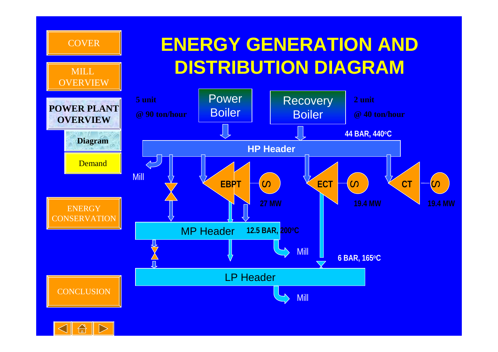

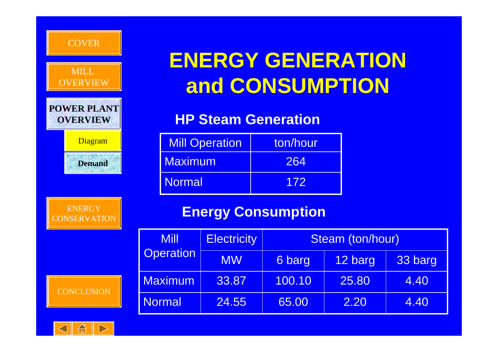| <b>COVER</b>                          |                 |   |
|---------------------------------------|-----------------|---|
|                                       | ENE             |   |
| <b>MILL</b><br><b>OVERVIEW</b>        | an              |   |
| <b>POWER PLANT</b><br><b>OVERVIEW</b> | <b>HPS</b>      |   |
| Diagram                               | <b>Mill Ope</b> |   |
| <b>Maximur</b><br><b>Demand</b>       |                 |   |
| <b>Normal</b>                         |                 |   |
| <b>ENERGY</b><br><b>CONSERVATION</b>  | <b>Ene</b>      |   |
| <b>Mill</b>                           |                 | I |
| <b>Operation</b>                      |                 |   |
| <b>Maximum</b>                        |                 |   |
| <b>CONCLUSION</b><br><b>Normal</b>    |                 |   |
|                                       |                 |   |

## **ERGY GENERATION and CONSUMPTION**

### **HP Steam Generation**

| Diagram       | <b>Mill Operation</b> | ton/hour |
|---------------|-----------------------|----------|
| <b>Demand</b> | <b>Maximum</b>        | 264      |
|               | <b>Normal</b>         | 172      |

### **Engy Consumption**

| Mill             | <b>Electricity</b> | Steam (ton/hour) |         |         |
|------------------|--------------------|------------------|---------|---------|
| <b>Operation</b> | <b>MW</b>          | 6 barg           | 12 barg | 33 barg |
| <b>Maximum</b>   | 33.87              | 100.10           | 25.80   | 4.40    |
| <b>Normal</b>    | 24.55              | 65.00            | 2.20    | 4.40    |

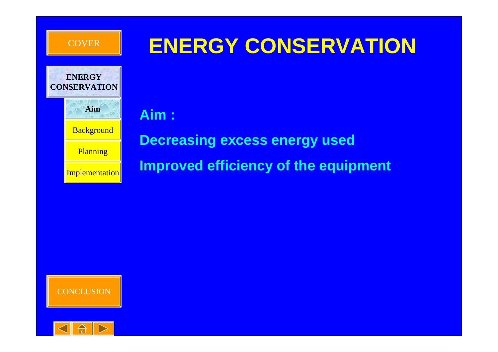

**ENERGY**

### **ENERGY CONSERVATION**

**AimBackground Planning Implementation CONSERVATION**

**Aim :** 

**Decreasing excess energy used Improved efficiency of the equipment**



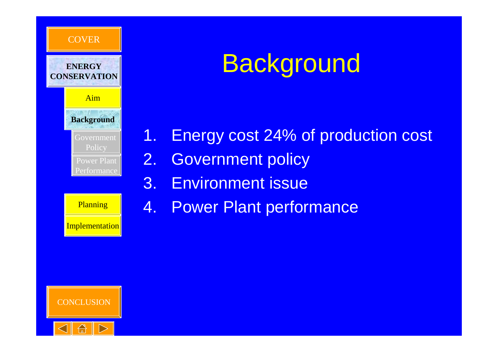

## **Background**

1. Energy cost 24% of production cost 2. Government policy 3. Environment issue

**Implementation** 

**Planning 4. Power Plant performance** 

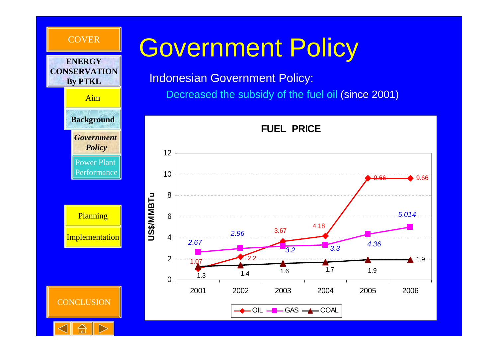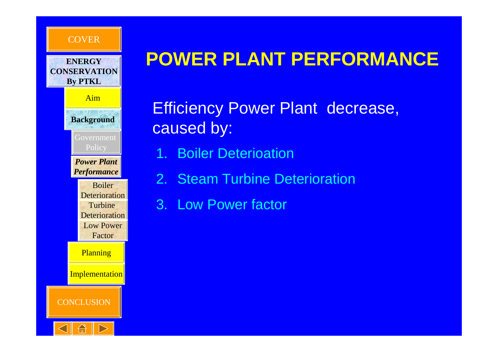

### **POWER PLANT PERFORMANCE**

Efficiency Power Plant decrease, caused by:

- 1. Boiler Deterioation
- 2. Steam Turbine Deterioration
- 3. Low Power factor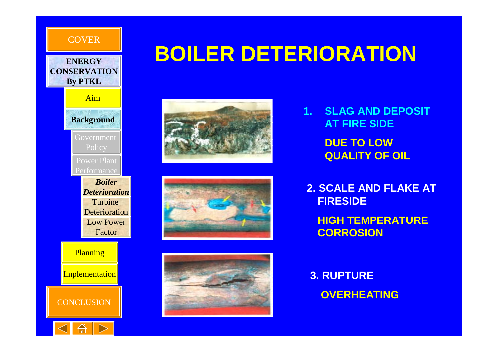



### **BOILER DETERIORATION**







**1. SLAG AND DEPOSIT AT FIRE SIDEDUE TO LOW QUALITY OF OIL**

**2. SCALE AND FLAKE AT FIRESIDEHIGH TEMPERATURE CORROSION**

**3. RUPTURE OVERHEATING**



**CONCLUSION** 

**Implementation**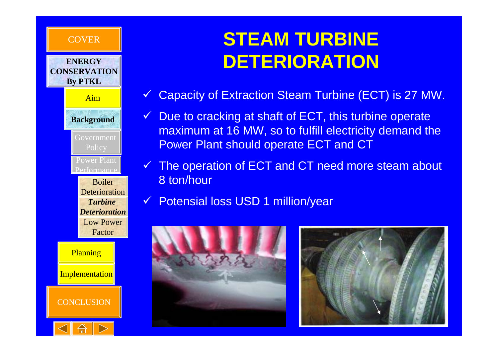#### **COVER**

#### **ENERGYCONSERVATIONBy PTKL**

Aim

Government Policy Power Plant**Background**

**Performance** Boiler**Deterioration** *Turbine Deterioration*

> Low PowerFactor

**Planning Implementation** 



**CONCLUSION** 

### **STEAM TURBINE DETERIORATION**

- $\checkmark$ Capacity of Extraction Steam Turbine (ECT) is 27 MW.
- $\checkmark$  Due to cracking at shaft of ECT, this turbine operate maximum at 16 MW, so to fulfill electricity demand the Power Plant should operate ECT and CT
- $\checkmark$ The operation of ECT and CT need more steam about 8 ton/hour
- $\checkmark$ Potensial loss USD 1 million/year



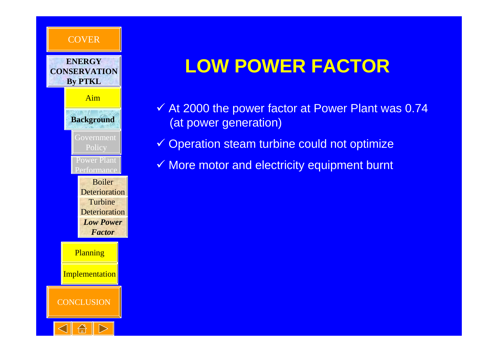

### **LOW POWER FACTOR**

- $\checkmark$  At 2000 the power factor at Power Plant was 0.74 (at power generation)
- $\checkmark$  Operation steam turbine could not optimize
- $\checkmark$  More motor and electricity equipment burnt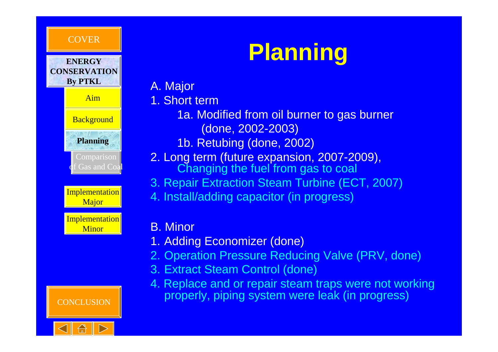#### **COVER**

**ENERGY**





**Implementation Minor** 



# **Planning**

- A. Major
- 1. Short term
	- 1a. Modified from oil burner to gas burner (done, 2002-2003)
	- 1b. Retubing (done, 2002)
- 2. Long term (future expansion, 2007-2009), Changing the fuel from gas to coal
- 3. Repair Extraction Steam Turbine (ECT, 2007)
- 4. Install/adding capacitor (in progress)

#### B. Minor

- 1. Adding Economizer (done)
- 2. Operation Pressure Reducing Valve (PRV, done)
- 3. Extract Steam Control (done)
- 4. Replace and or repair steam traps were not working properly, piping system were leak (in progress)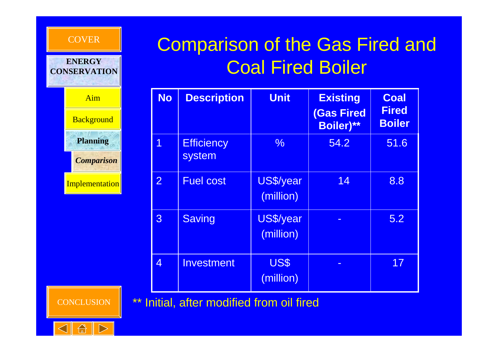

### Comparison of the Gas Fired and Coal Fired Boiler

| <b>No</b>      | <b>Description</b>          | <b>Unit</b>            | <b>Existing</b><br><b>(Gas Fired</b><br><b>Boiler)**</b> | <b>Coal</b><br><b>Fired</b><br><b>Boiler</b> |
|----------------|-----------------------------|------------------------|----------------------------------------------------------|----------------------------------------------|
| 1              | <b>Efficiency</b><br>system | $\frac{0}{6}$          | 54.2                                                     | 51.6                                         |
| $\overline{2}$ | <b>Fuel cost</b>            | US\$/year<br>(million) | 14                                                       | 8.8                                          |
| 3              | <b>Saving</b>               | US\$/year<br>(million) |                                                          | 5.2                                          |
| 4              | Investment                  | US\$<br>(million)      |                                                          | 17                                           |

\*\* Initial, after modified from oil fired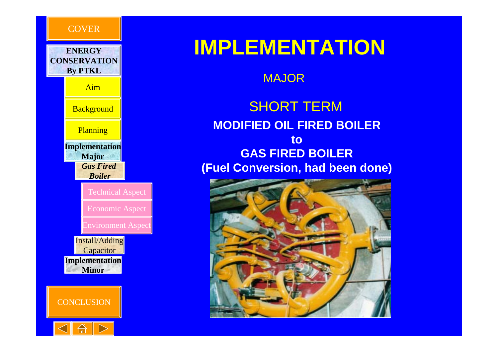

### **IMPLEMENTATION**

MAJOR

**MODIFIED OIL FIRED BOILER to GAS FIRED BOILER (Fuel Conversion, had been done)** SHORT TERM



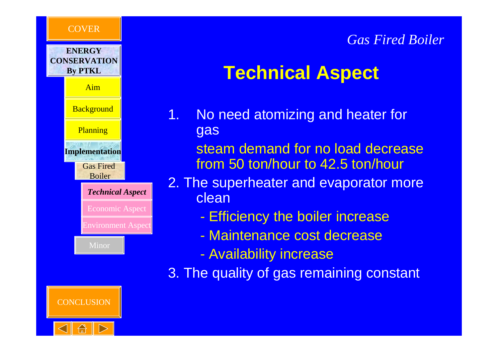

### **Technical Aspect**

- 1. No need atomizing and heater for gas
	- steam demand for no load decrease from 50 ton/hour to 42.5 ton/hour
- 2. The superheater and evaporator more clean
	- -Efficiency the boiler increase
	- Maintenance cost decrease
	- -Availability increase

3. The quality of gas remaining constant



Gas Fired Boiler

**Planning** 

Aim

**COVER** 

**ENERGYCONSERVATIONBy PTKL**

**Background** 

**Implementation**

*Technical Aspect*

Economic Aspect

Environment Aspect

Minor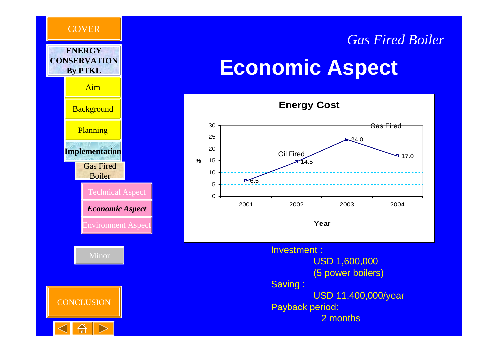



# **Economic Aspect**

*Gas Fired Boiler*



Investment : USD 1,600,000 (5 power boilers) Saving : USD 11,400,000/year Payback period:  $\pm$  2 months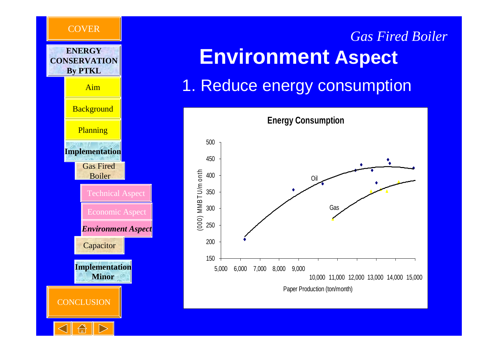

## **Environment Aspect** *Gas Fired Boiler*

### 1. Reduce energy consumption

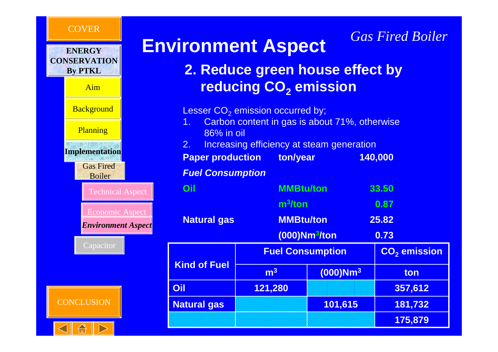#### **COVER**



# **Environment Aspect**

### **2. Reduce green house effect by reducing CO 2 emission**

*Gas Fired Boiler*

Lesser CO $_2$  emission occurred by;

- 1. Carbon content in gas is about 71%, otherwise 86% in oil
- 2. Increasing efficiency at steam generation

**Paper production ton/year 140,000**

#### *Fuel Consumption*

| Oil                 | <b>MMBtu/ton</b>          |                           | 33.50                    |
|---------------------|---------------------------|---------------------------|--------------------------|
|                     | $m^3$ /ton                |                           | 0.87                     |
| <b>Natural gas</b>  |                           | <b>MMBtu/ton</b><br>25.82 |                          |
|                     | (000)Nm <sup>3</sup> /ton |                           | 0.73                     |
|                     | <b>Fuel Consumption</b>   |                           | CO <sub>2</sub> emission |
| <b>Kind of Fuel</b> | m <sup>3</sup>            | $(000)$ Nm <sup>3</sup>   | ton                      |
| Oil                 | 121,280                   |                           | 357,612                  |
| <b>Natural gas</b>  |                           | 101,615                   | 181,732                  |
|                     |                           |                           | 175,879                  |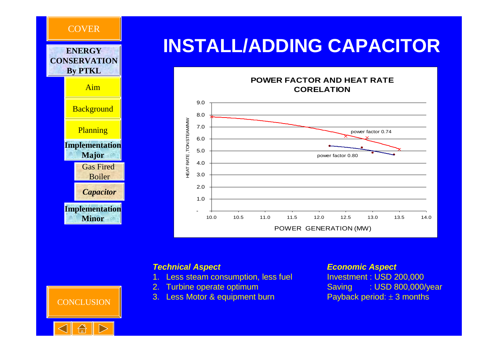

#### *Technical Aspect*

- 1. Less steam consumption, less fuel
- 2. Turbine operate optimum
- 3. Less Motor & equipment burn

#### *Economic Aspect*

Investment : USD 200,000 Saving : USD 800,000/year Payback period: ± 3 months



**CONCLUSION**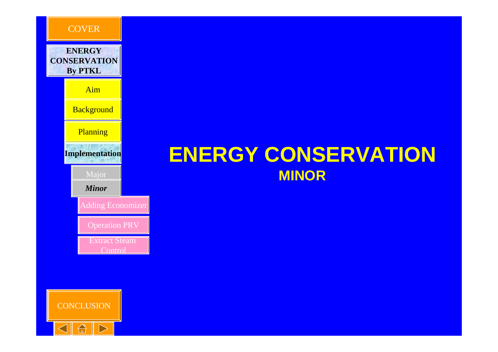

### **CONCLUSION**  $\sqrt{1-x}$

### **ENERGY CONSERVATION MINOR**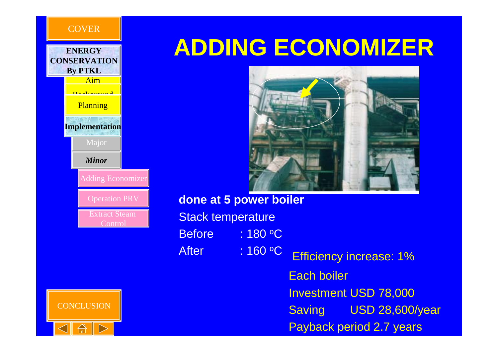|                         |  | <b>ENERGY</b><br><b>CONSERVATION</b><br><b>By PTKL</b> |  |
|-------------------------|--|--------------------------------------------------------|--|
|                         |  | Aim                                                    |  |
|                         |  |                                                        |  |
|                         |  | Planning                                               |  |
|                         |  | <b>Implementation</b>                                  |  |
|                         |  | Major                                                  |  |
|                         |  | <b>Minor</b>                                           |  |
|                         |  | <b>Adding Economizer</b>                               |  |
|                         |  | <b>Operation PRV</b>                                   |  |
| Extract Steam<br>Contro |  |                                                        |  |
|                         |  |                                                        |  |

**CONCLUSION** 

**COVER** 

## **ADDING ECONOMIZER**



**done at 5 power boiler Stack temperature** Before : 180 °C After : o C Efficiency increase: 1% Each boiler Investment USD 78,000 Saving USD 28,600/year

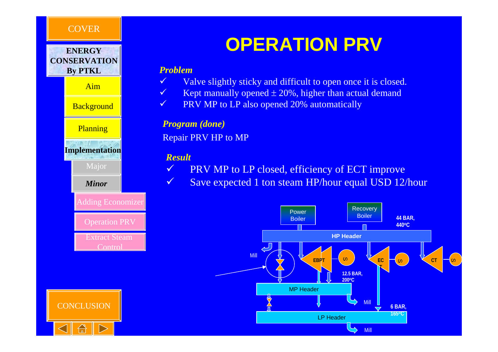



Aim

**Background** 

**Planning** 

**Implementation**

Major

*Minor*

#### Adding Economizer

Operation PRV

Extract Steam **Control** 

### **OPERATION PRV**

#### *Problem*

 $\checkmark$ 

 $\checkmark$ Valve slightly sticky and difficult to open once it is closed.

- $\checkmark$  Kept manually opened  $\pm 20\%$ , higher than actual demand
- $\checkmark$ PRV MP to LP also opened 20% automatically

#### *Program (done)*

Repair PRV HP to MP

#### *Result*

 $\checkmark$ 

- PRV MP to LP closed, efficiency of ECT improve
- $\checkmark$ Save expected 1 ton steam HP/hour equal USD 12/hour



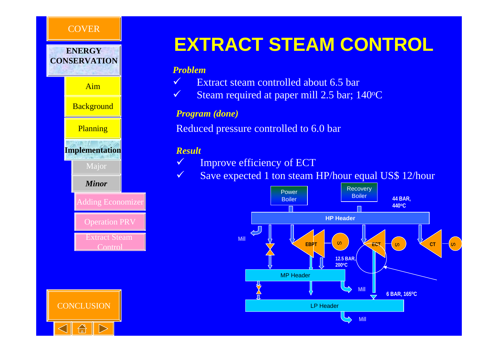



**Background** 

**Planning** 

**Implementation**

Major

*Minor*

**Adding Economizer** 

Operation PRV

Extract Steam **Control** 



### **EXTRACT STEAM CONTROL**

#### *Problem*

- $\sqrt{}$ Extract steam controlled about 6.5 bar
- $\checkmark$  $\checkmark$  Steam required at paper mill 2.5 bar; 140 °C

#### *Program (done)*

Reduced pressure controlled to 6.0 bar

#### *Result*

- $\checkmark$ Improve efficiency of ECT
- $\checkmark$ Save expected 1 ton steam HP/hour equal US\$ 12/hour